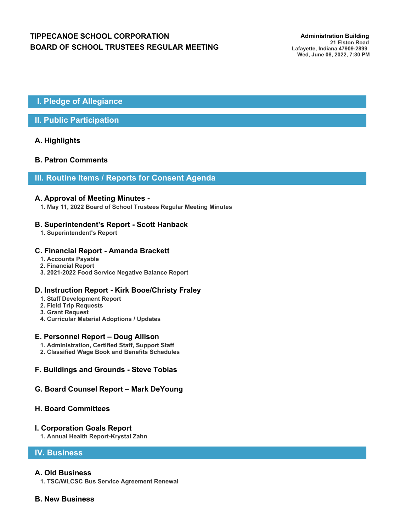# **TIPPECANOE SCHOOL CORPORATION** *Administration Building* **BOARD OF SCHOOL TRUSTEES REGULAR MEETING**

## **I. Pledge of Allegiance**

## **II. Public Participation**

## **A. Highlights**

## **B. Patron Comments**

## **III. Routine Items / Reports for Consent Agenda**

#### **A. Approval of Meeting Minutes -**

**1. May 11, 2022 Board of School Trustees Regular Meeting Minutes**

### **B. Superintendent's Report - Scott Hanback**

**1. Superintendent's Report**

## **C. Financial Report - Amanda Brackett**

- **1. Accounts Payable**
- **2. Financial Report**
- **3. 2021-2022 Food Service Negative Balance Report**

#### **D. Instruction Report - Kirk Booe/Christy Fraley**

- **1. Staff Development Report**
- **2. Field Trip Requests**
- **3. Grant Request**
- **4. Curricular Material Adoptions / Updates**

#### **E. Personnel Report – Doug Allison**

- **1. Administration, Certified Staff, Support Staff**
- **2. Classified Wage Book and Benefits Schedules**

## **F. Buildings and Grounds - Steve Tobias**

### **G. Board Counsel Report – Mark DeYoung**

#### **H. Board Committees**

#### **I. Corporation Goals Report**

**1. Annual Health Report-Krystal Zahn**

## **IV. Business**

#### **A. Old Business**

**1. TSC/WLCSC Bus Service Agreement Renewal**

## **B. New Business**